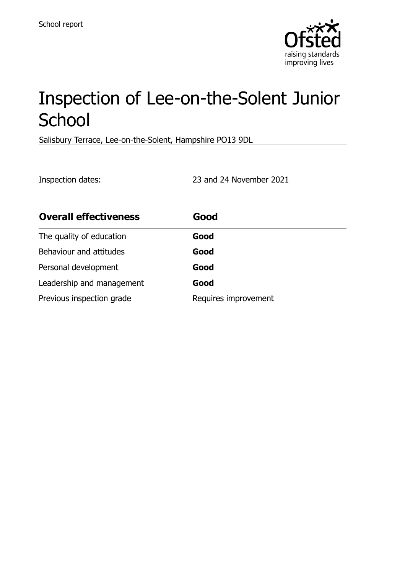

# Inspection of Lee-on-the-Solent Junior **School**

Salisbury Terrace, Lee-on-the-Solent, Hampshire PO13 9DL

Inspection dates: 23 and 24 November 2021

| <b>Overall effectiveness</b> | Good                 |
|------------------------------|----------------------|
| The quality of education     | Good                 |
| Behaviour and attitudes      | Good                 |
| Personal development         | Good                 |
| Leadership and management    | Good                 |
| Previous inspection grade    | Requires improvement |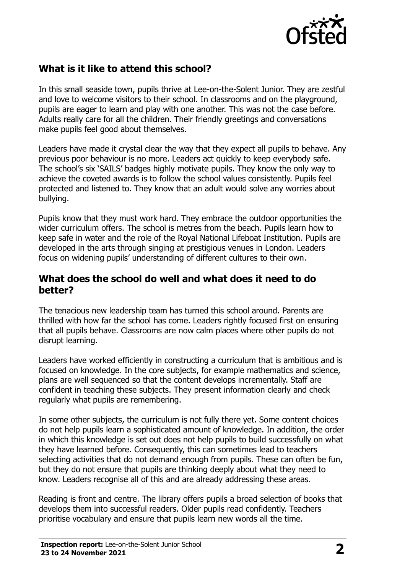

# **What is it like to attend this school?**

In this small seaside town, pupils thrive at Lee-on-the-Solent Junior. They are zestful and love to welcome visitors to their school. In classrooms and on the playground, pupils are eager to learn and play with one another. This was not the case before. Adults really care for all the children. Their friendly greetings and conversations make pupils feel good about themselves.

Leaders have made it crystal clear the way that they expect all pupils to behave. Any previous poor behaviour is no more. Leaders act quickly to keep everybody safe. The school's six 'SAILS' badges highly motivate pupils. They know the only way to achieve the coveted awards is to follow the school values consistently. Pupils feel protected and listened to. They know that an adult would solve any worries about bullying.

Pupils know that they must work hard. They embrace the outdoor opportunities the wider curriculum offers. The school is metres from the beach. Pupils learn how to keep safe in water and the role of the Royal National Lifeboat Institution. Pupils are developed in the arts through singing at prestigious venues in London. Leaders focus on widening pupils' understanding of different cultures to their own.

#### **What does the school do well and what does it need to do better?**

The tenacious new leadership team has turned this school around. Parents are thrilled with how far the school has come. Leaders rightly focused first on ensuring that all pupils behave. Classrooms are now calm places where other pupils do not disrupt learning.

Leaders have worked efficiently in constructing a curriculum that is ambitious and is focused on knowledge. In the core subjects, for example mathematics and science, plans are well sequenced so that the content develops incrementally. Staff are confident in teaching these subjects. They present information clearly and check regularly what pupils are remembering.

In some other subjects, the curriculum is not fully there yet. Some content choices do not help pupils learn a sophisticated amount of knowledge. In addition, the order in which this knowledge is set out does not help pupils to build successfully on what they have learned before. Consequently, this can sometimes lead to teachers selecting activities that do not demand enough from pupils. These can often be fun, but they do not ensure that pupils are thinking deeply about what they need to know. Leaders recognise all of this and are already addressing these areas.

Reading is front and centre. The library offers pupils a broad selection of books that develops them into successful readers. Older pupils read confidently. Teachers prioritise vocabulary and ensure that pupils learn new words all the time.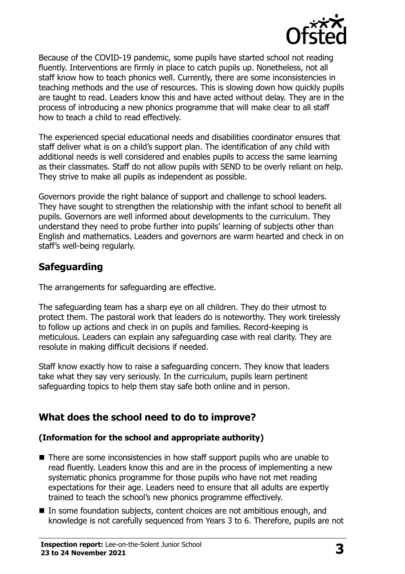

Because of the COVID-19 pandemic, some pupils have started school not reading fluently. Interventions are firmly in place to catch pupils up. Nonetheless, not all staff know how to teach phonics well. Currently, there are some inconsistencies in teaching methods and the use of resources. This is slowing down how quickly pupils are taught to read. Leaders know this and have acted without delay. They are in the process of introducing a new phonics programme that will make clear to all staff how to teach a child to read effectively.

The experienced special educational needs and disabilities coordinator ensures that staff deliver what is on a child's support plan. The identification of any child with additional needs is well considered and enables pupils to access the same learning as their classmates. Staff do not allow pupils with SEND to be overly reliant on help. They strive to make all pupils as independent as possible.

Governors provide the right balance of support and challenge to school leaders. They have sought to strengthen the relationship with the infant school to benefit all pupils. Governors are well informed about developments to the curriculum. They understand they need to probe further into pupils' learning of subjects other than English and mathematics. Leaders and governors are warm hearted and check in on staff's well-being regularly.

## **Safeguarding**

The arrangements for safeguarding are effective.

The safeguarding team has a sharp eye on all children. They do their utmost to protect them. The pastoral work that leaders do is noteworthy. They work tirelessly to follow up actions and check in on pupils and families. Record-keeping is meticulous. Leaders can explain any safeguarding case with real clarity. They are resolute in making difficult decisions if needed.

Staff know exactly how to raise a safeguarding concern. They know that leaders take what they say very seriously. In the curriculum, pupils learn pertinent safeguarding topics to help them stay safe both online and in person.

# **What does the school need to do to improve?**

#### **(Information for the school and appropriate authority)**

- There are some inconsistencies in how staff support pupils who are unable to read fluently. Leaders know this and are in the process of implementing a new systematic phonics programme for those pupils who have not met reading expectations for their age. Leaders need to ensure that all adults are expertly trained to teach the school's new phonics programme effectively.
- In some foundation subjects, content choices are not ambitious enough, and knowledge is not carefully sequenced from Years 3 to 6. Therefore, pupils are not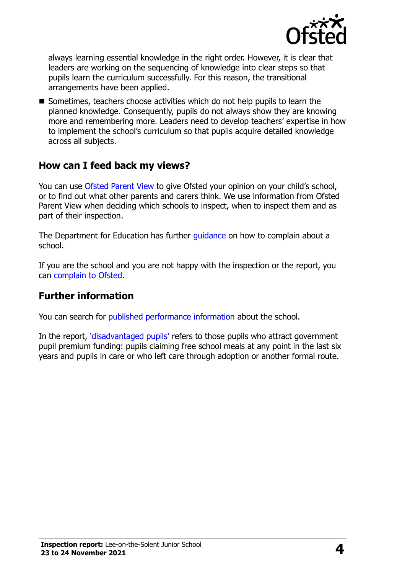

always learning essential knowledge in the right order. However, it is clear that leaders are working on the sequencing of knowledge into clear steps so that pupils learn the curriculum successfully. For this reason, the transitional arrangements have been applied.

 $\blacksquare$  Sometimes, teachers choose activities which do not help pupils to learn the planned knowledge. Consequently, pupils do not always show they are knowing more and remembering more. Leaders need to develop teachers' expertise in how to implement the school's curriculum so that pupils acquire detailed knowledge across all subjects.

## **How can I feed back my views?**

You can use [Ofsted Parent View](http://parentview.ofsted.gov.uk/) to give Ofsted your opinion on your child's school, or to find out what other parents and carers think. We use information from Ofsted Parent View when deciding which schools to inspect, when to inspect them and as part of their inspection.

The Department for Education has further *guidance* on how to complain about a school.

If you are the school and you are not happy with the inspection or the report, you can [complain to Ofsted.](http://www.gov.uk/complain-ofsted-report)

#### **Further information**

You can search for [published performance information](http://www.compare-school-performance.service.gov.uk/) about the school.

In the report, '[disadvantaged pupils](http://www.gov.uk/guidance/pupil-premium-information-for-schools-and-alternative-provision-settings)' refers to those pupils who attract government pupil premium funding: pupils claiming free school meals at any point in the last six years and pupils in care or who left care through adoption or another formal route.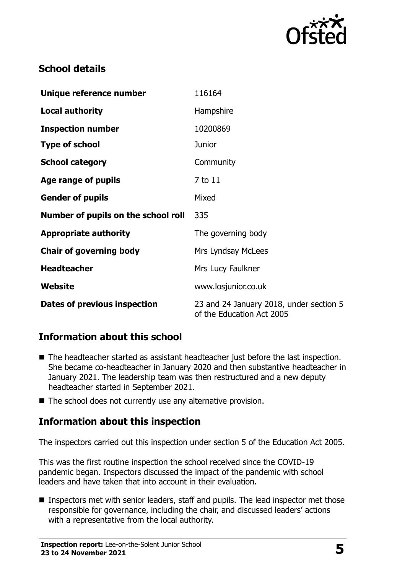

# **School details**

| Unique reference number             | 116164                                                               |
|-------------------------------------|----------------------------------------------------------------------|
| <b>Local authority</b>              | Hampshire                                                            |
| <b>Inspection number</b>            | 10200869                                                             |
| <b>Type of school</b>               | <b>Junior</b>                                                        |
| <b>School category</b>              | Community                                                            |
| Age range of pupils                 | 7 to 11                                                              |
| <b>Gender of pupils</b>             | Mixed                                                                |
| Number of pupils on the school roll | 335                                                                  |
| <b>Appropriate authority</b>        | The governing body                                                   |
| <b>Chair of governing body</b>      | <b>Mrs Lyndsay McLees</b>                                            |
| <b>Headteacher</b>                  | Mrs Lucy Faulkner                                                    |
| Website                             | www.losjunior.co.uk                                                  |
| Dates of previous inspection        | 23 and 24 January 2018, under section 5<br>of the Education Act 2005 |

# **Information about this school**

- The headteacher started as assistant headteacher just before the last inspection. She became co-headteacher in January 2020 and then substantive headteacher in January 2021. The leadership team was then restructured and a new deputy headteacher started in September 2021.
- The school does not currently use any alternative provision.

# **Information about this inspection**

The inspectors carried out this inspection under section 5 of the Education Act 2005.

This was the first routine inspection the school received since the COVID-19 pandemic began. Inspectors discussed the impact of the pandemic with school leaders and have taken that into account in their evaluation.

Inspectors met with senior leaders, staff and pupils. The lead inspector met those responsible for governance, including the chair, and discussed leaders' actions with a representative from the local authority.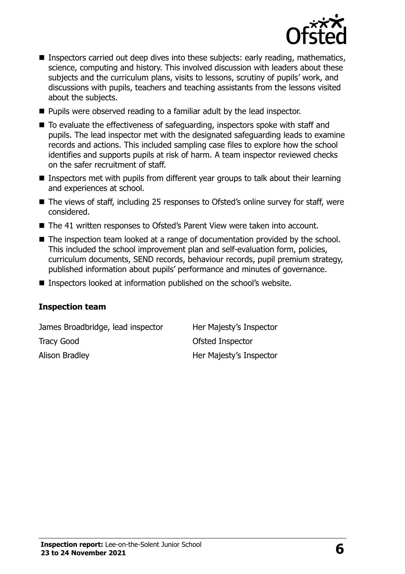

- **Inspectors carried out deep dives into these subjects: early reading, mathematics,** science, computing and history. This involved discussion with leaders about these subjects and the curriculum plans, visits to lessons, scrutiny of pupils' work, and discussions with pupils, teachers and teaching assistants from the lessons visited about the subjects.
- Pupils were observed reading to a familiar adult by the lead inspector.
- $\blacksquare$  To evaluate the effectiveness of safeguarding, inspectors spoke with staff and pupils. The lead inspector met with the designated safeguarding leads to examine records and actions. This included sampling case files to explore how the school identifies and supports pupils at risk of harm. A team inspector reviewed checks on the safer recruitment of staff.
- Inspectors met with pupils from different year groups to talk about their learning and experiences at school.
- The views of staff, including 25 responses to Ofsted's online survey for staff, were considered.
- The 41 written responses to Ofsted's Parent View were taken into account.
- The inspection team looked at a range of documentation provided by the school. This included the school improvement plan and self-evaluation form, policies, curriculum documents, SEND records, behaviour records, pupil premium strategy, published information about pupils' performance and minutes of governance.
- Inspectors looked at information published on the school's website.

#### **Inspection team**

James Broadbridge, lead inspector Her Majesty's Inspector Tracy Good **Ofsted Inspector** Alison Bradley **Her Majesty's Inspector**